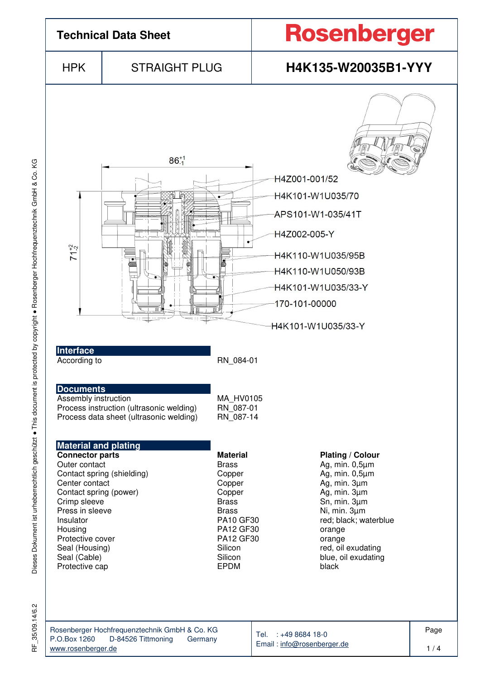

ΧG

RF\_35/09.14/6.2

35/09.14/6.2

눈

www.rosenberger.de

Email : info@rosenberger.de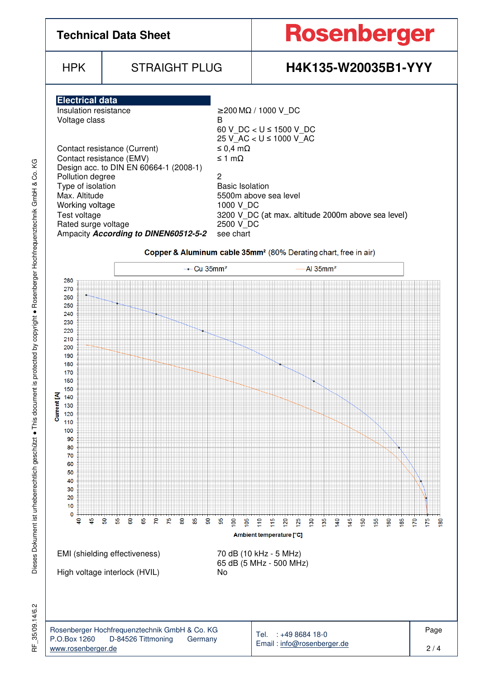

KG

35/09.14/6.2 RF\_35/09.14/6.2 눈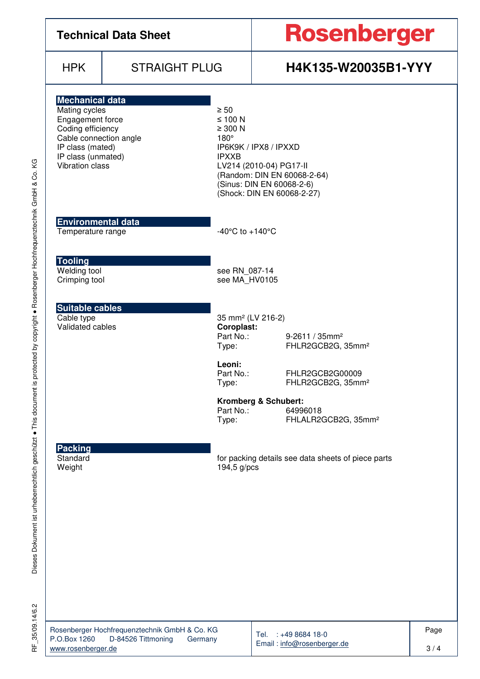| <b>Technical Data Sheet</b>                                                                                                                                                    |                      |                                                                             | Rosenberger                                                                                                                                |  |  |  |
|--------------------------------------------------------------------------------------------------------------------------------------------------------------------------------|----------------------|-----------------------------------------------------------------------------|--------------------------------------------------------------------------------------------------------------------------------------------|--|--|--|
| <b>HPK</b>                                                                                                                                                                     | <b>STRAIGHT PLUG</b> |                                                                             | H4K135-W20035B1-YYY                                                                                                                        |  |  |  |
| <b>Mechanical data</b><br>Mating cycles<br>Engagement force<br>Coding efficiency<br>Cable connection angle<br>IP class (mated)<br>IP class (unmated)<br><b>Vibration class</b> |                      | $\geq 50$<br>$≤ 100 N$<br>$\geq 300$ N<br>$180^\circ$<br><b>IPXXB</b>       | IP6K9K / IPX8 / IPXXD<br>LV214 (2010-04) PG17-II<br>(Random: DIN EN 60068-2-64)<br>(Sinus: DIN EN 60068-2-6)<br>(Shock: DIN EN 60068-2-27) |  |  |  |
| <b>Environmental data</b><br>Temperature range                                                                                                                                 |                      | -40 $^{\circ}$ C to +140 $^{\circ}$ C                                       |                                                                                                                                            |  |  |  |
| <b>Tooling</b><br>Welding tool<br>Crimping tool                                                                                                                                |                      | see RN 087-14<br>see MA_HV0105                                              |                                                                                                                                            |  |  |  |
| <b>Suitable cables</b><br>Cable type<br>Validated cables                                                                                                                       |                      | 35 mm <sup>2</sup> (LV 216-2)<br>Coroplast:<br>Part No.:<br>Type:<br>Leoni: | 9-2611 / 35mm <sup>2</sup><br>FHLR2GCB2G, 35mm <sup>2</sup>                                                                                |  |  |  |
|                                                                                                                                                                                |                      | Part No.:<br>Type:<br>Part No.:<br>Type:                                    | FHLR2GCB2G00009<br>FHLR2GCB2G, 35mm <sup>2</sup><br>Kromberg & Schubert:<br>64996018<br>FHLALR2GCB2G, 35mm <sup>2</sup>                    |  |  |  |
| <b>Packing</b><br>Standard<br>Weight                                                                                                                                           |                      | for packing details see data sheets of piece parts<br>$194,5$ g/pcs         |                                                                                                                                            |  |  |  |
|                                                                                                                                                                                |                      |                                                                             |                                                                                                                                            |  |  |  |
|                                                                                                                                                                                |                      |                                                                             |                                                                                                                                            |  |  |  |
|                                                                                                                                                                                |                      |                                                                             |                                                                                                                                            |  |  |  |

RF\_35/09.14/6.2 RF\_35/09.14/6.2

Tel. : +49 8684 18-0 Email : info@rosenberger.de Page 3 / 4